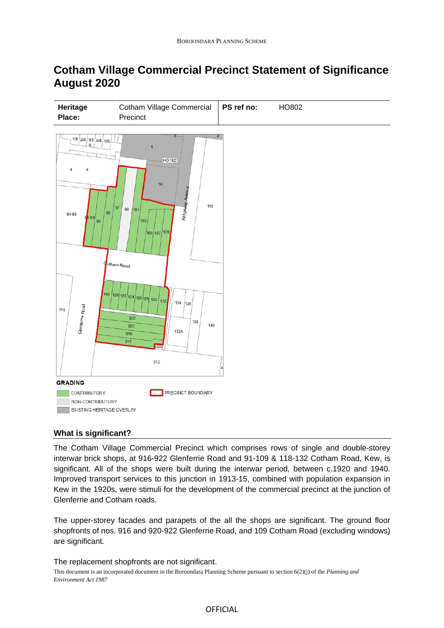# **Cotham Village Commercial Precinct Statement of Significance August 2020**



## **What is significant?**

The Cotham Village Commercial Precinct which comprises rows of single and double-storey interwar brick shops, at 916-922 Glenferrie Road and 91-109 & 118-132 Cotham Road, Kew, is significant. All of the shops were built during the interwar period, between c.1920 and 1940. Improved transport services to this junction in 1913-15, combined with population expansion in Kew in the 1920s, were stimuli for the development of the commercial precinct at the junction of Glenferrie and Cotham roads.

The upper-storey facades and parapets of the all the shops are significant. The ground floor shopfronts of nos. 916 and 920-922 Glenferrie Road, and 109 Cotham Road (excluding windows) are significant.

#### The replacement shopfronts are not significant.

This document is an incorporated document in the Boroondara Planning Scheme pursuant to section 6(2)(j) of the *Planning and Environment Act 1987*